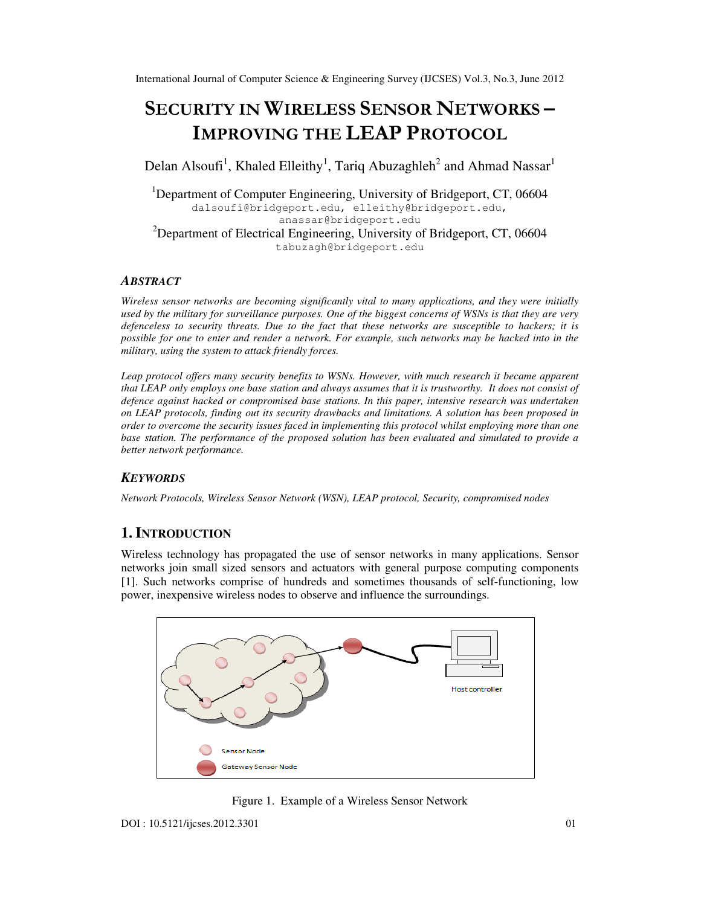# SECURITY IN WIRELESS SENSOR NETWORKS – IMPROVING THE LEAP PROTOCOL

Delan Alsoufi<sup>1</sup>, Khaled Elleithy<sup>1</sup>, Tariq Abuzaghleh<sup>2</sup> and Ahmad Nassar<sup>1</sup>

<sup>1</sup>Department of Computer Engineering, University of Bridgeport, CT, 06604 dalsoufi@bridgeport.edu, elleithy@bridgeport.edu, anassar@bridgeport.edu <sup>2</sup>Department of Electrical Engineering, University of Bridgeport, CT, 06604

tabuzagh@bridgeport.edu

#### *ABSTRACT*

*Wireless sensor networks are becoming significantly vital to many applications, and they were initially used by the military for surveillance purposes. One of the biggest concerns of WSNs is that they are very defenceless to security threats. Due to the fact that these networks are susceptible to hackers; it is possible for one to enter and render a network. For example, such networks may be hacked into in the military, using the system to attack friendly forces.* 

Leap protocol offers many security benefits to WSNs. However, with much research it became apparent *that LEAP only employs one base station and always assumes that it is trustworthy. It does not consist of defence against hacked or compromised base stations. In this paper, intensive research was undertaken on LEAP protocols, finding out its security drawbacks and limitations. A solution has been proposed in order to overcome the security issues faced in implementing this protocol whilst employing more than one base station. The performance of the proposed solution has been evaluated and simulated to provide a better network performance.* 

# *KEYWORDS*

*Network Protocols, Wireless Sensor Network (WSN), LEAP protocol, Security, compromised nodes* 

## **1. INTRODUCTION**

Wireless technology has propagated the use of sensor networks in many applications. Sensor networks join small sized sensors and actuators with general purpose computing components [1]. Such networks comprise of hundreds and sometimes thousands of self-functioning, low power, inexpensive wireless nodes to observe and influence the surroundings.



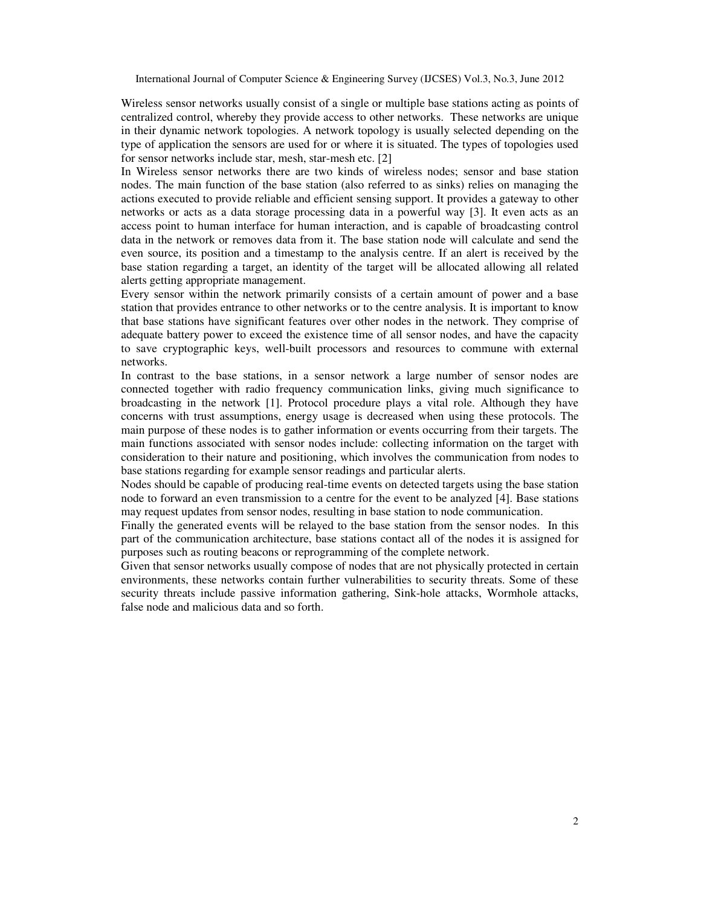Wireless sensor networks usually consist of a single or multiple base stations acting as points of centralized control, whereby they provide access to other networks. These networks are unique in their dynamic network topologies. A network topology is usually selected depending on the type of application the sensors are used for or where it is situated. The types of topologies used for sensor networks include star, mesh, star-mesh etc. [2]

In Wireless sensor networks there are two kinds of wireless nodes; sensor and base station nodes. The main function of the base station (also referred to as sinks) relies on managing the actions executed to provide reliable and efficient sensing support. It provides a gateway to other networks or acts as a data storage processing data in a powerful way [3]. It even acts as an access point to human interface for human interaction, and is capable of broadcasting control data in the network or removes data from it. The base station node will calculate and send the even source, its position and a timestamp to the analysis centre. If an alert is received by the base station regarding a target, an identity of the target will be allocated allowing all related alerts getting appropriate management.

Every sensor within the network primarily consists of a certain amount of power and a base station that provides entrance to other networks or to the centre analysis. It is important to know that base stations have significant features over other nodes in the network. They comprise of adequate battery power to exceed the existence time of all sensor nodes, and have the capacity to save cryptographic keys, well-built processors and resources to commune with external networks.

In contrast to the base stations, in a sensor network a large number of sensor nodes are connected together with radio frequency communication links, giving much significance to broadcasting in the network [1]. Protocol procedure plays a vital role. Although they have concerns with trust assumptions, energy usage is decreased when using these protocols. The main purpose of these nodes is to gather information or events occurring from their targets. The main functions associated with sensor nodes include: collecting information on the target with consideration to their nature and positioning, which involves the communication from nodes to base stations regarding for example sensor readings and particular alerts.

Nodes should be capable of producing real-time events on detected targets using the base station node to forward an even transmission to a centre for the event to be analyzed [4]. Base stations may request updates from sensor nodes, resulting in base station to node communication.

Finally the generated events will be relayed to the base station from the sensor nodes. In this part of the communication architecture, base stations contact all of the nodes it is assigned for purposes such as routing beacons or reprogramming of the complete network.

Given that sensor networks usually compose of nodes that are not physically protected in certain environments, these networks contain further vulnerabilities to security threats. Some of these security threats include passive information gathering, Sink-hole attacks, Wormhole attacks, false node and malicious data and so forth.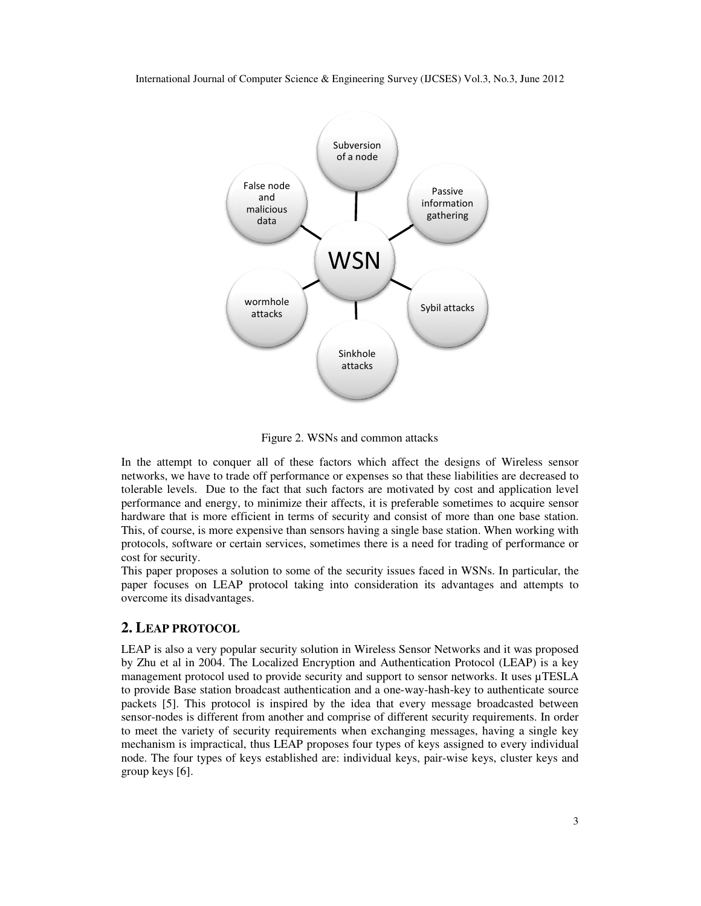

Figure 2. 2. WSNs and common attacks

In the attempt to conquer all of these factors which affect the designs of Wireless sensor networks, we have to trade off performance or expenses so that these liabilities are decreased to networks, we have to trade off performance or expenses so that these liabilities are decreased to tolerable levels. Due to the fact that such factors are motivated by cost and application level performance and energy, to minimize their affects, it is preferable sometimes to acquire sensor hardware that is more efficient in terms of security and consist of more than one base station. performance and energy, to minimize their affects, it is preferable sometimes to acquire sensor hardware that is more efficient in terms of security and consist of more than one base station. This, of course, is more expen protocols, software or certain services, sometimes there is a need for trading of performance or cost for security. protocols, software or certain services, sometimes there is a need for trading of performance or cost for security.<br>This paper proposes a solution to some of the security issues faced in WSNs. In particular, the This, of course, is more expensive than sensors having a single base station. When working with protocols, software or certain services, sometimes there is a need for trading of performance or cost for security.<br>This paper is which affect the designs of Wireless se<br>expenses so that these liabilities are decrease<br>tors are motivated by cost and application l

overcome its disadvantages.

#### **2. LEAP PROTOCOL**

LEAP is also a very popular security solution in Wireless Sensor Networks and it was proposed by Zhu et al in 2004. The Localized Encryption and Authentication Protocol (LEAP) is a key management protocol used to provide security and support to sensor networks. It uses  $\mu$ TESLA to provide Base station broadcast authentication and a one-way-hash-key to authenticate source packets [5]. This protocol is inspired by the idea that every message broadcasted between sensor-nodes is different from another and comprise of different security requirements. In order to meet the variety of security requirements when exchanging messages, having a single key mechanism is impractical, thus LEAP proposes four types of keys assigned to every individual mechanism is impractical, thus LEAP proposes four types of keys assigned to every individual node. The four types of keys established are: individual keys, pair-wise keys, cluster keys and group keys [6]. Focuses on LEAP protocol taking into consideration its advantages and attempts to<br>me its disadvantages.<br>AP PROTOCOL<br>is also a very popular security solution in Wireless Sensor Networks and it was proposed<br>i et al in 2004. E). This protocol is inspired by the idea that every message broadcasted between nodes is different from another and comprise of different security requirements. In order t the variety of security requirements when exchang ide Base station broadcast authentication and a one-way-hash-key to authentica<br>
[5]. This protocol is inspired by the idea that every message broadcasted<br>
modes is different from another and comprise of different security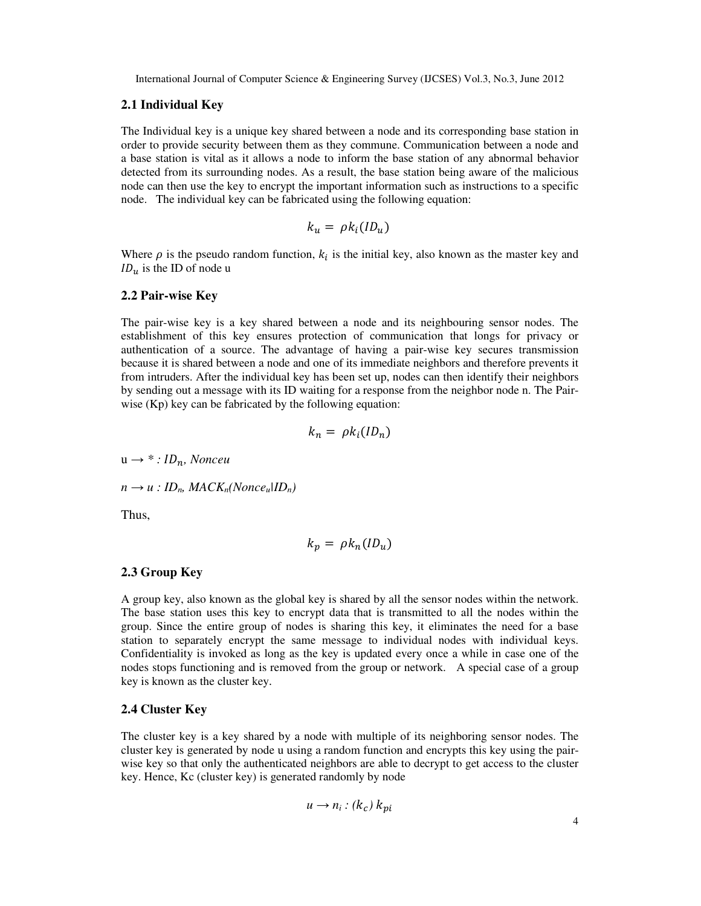#### **2.1 Individual Key**

The Individual key is a unique key shared between a node and its corresponding base station in order to provide security between them as they commune. Communication between a node and a base station is vital as it allows a node to inform the base station of any abnormal behavior detected from its surrounding nodes. As a result, the base station being aware of the malicious node can then use the key to encrypt the important information such as instructions to a specific node. The individual key can be fabricated using the following equation:

$$
k_u = \rho k_i (I D_u)
$$

Where  $\rho$  is the pseudo random function,  $k_i$  is the initial key, also known as the master key and  $ID_u$  is the ID of node u

#### **2.2 Pair-wise Key**

The pair-wise key is a key shared between a node and its neighbouring sensor nodes. The establishment of this key ensures protection of communication that longs for privacy or authentication of a source. The advantage of having a pair-wise key secures transmission because it is shared between a node and one of its immediate neighbors and therefore prevents it from intruders. After the individual key has been set up, nodes can then identify their neighbors by sending out a message with its ID waiting for a response from the neighbor node n. The Pairwise (Kp) key can be fabricated by the following equation:

$$
k_n = \rho k_i(ID_n)
$$

 $u \rightarrow * : ID_n$ , *Nonceu* 

 $n \rightarrow u : ID_n$ ,  $MACK_n(None_u|ID_n)$ 

Thus,

$$
k_p = \rho k_n (I D_u)
$$

#### **2.3 Group Key**

A group key, also known as the global key is shared by all the sensor nodes within the network. The base station uses this key to encrypt data that is transmitted to all the nodes within the group. Since the entire group of nodes is sharing this key, it eliminates the need for a base station to separately encrypt the same message to individual nodes with individual keys. Confidentiality is invoked as long as the key is updated every once a while in case one of the nodes stops functioning and is removed from the group or network. A special case of a group key is known as the cluster key.

#### **2.4 Cluster Key**

The cluster key is a key shared by a node with multiple of its neighboring sensor nodes. The cluster key is generated by node u using a random function and encrypts this key using the pairwise key so that only the authenticated neighbors are able to decrypt to get access to the cluster key. Hence, Kc (cluster key) is generated randomly by node

$$
u \to n_i : (k_c) k_{pi}
$$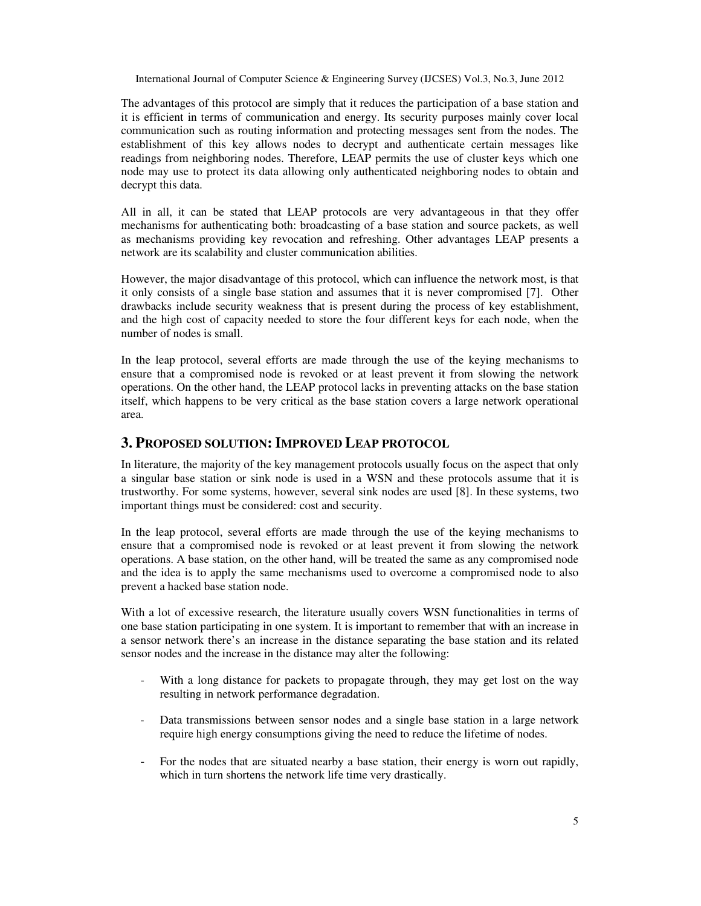The advantages of this protocol are simply that it reduces the participation of a base station and it is efficient in terms of communication and energy. Its security purposes mainly cover local communication such as routing information and protecting messages sent from the nodes. The establishment of this key allows nodes to decrypt and authenticate certain messages like readings from neighboring nodes. Therefore, LEAP permits the use of cluster keys which one node may use to protect its data allowing only authenticated neighboring nodes to obtain and decrypt this data.

All in all, it can be stated that LEAP protocols are very advantageous in that they offer mechanisms for authenticating both: broadcasting of a base station and source packets, as well as mechanisms providing key revocation and refreshing. Other advantages LEAP presents a network are its scalability and cluster communication abilities.

However, the major disadvantage of this protocol, which can influence the network most, is that it only consists of a single base station and assumes that it is never compromised [7]. Other drawbacks include security weakness that is present during the process of key establishment, and the high cost of capacity needed to store the four different keys for each node, when the number of nodes is small.

In the leap protocol, several efforts are made through the use of the keying mechanisms to ensure that a compromised node is revoked or at least prevent it from slowing the network operations. On the other hand, the LEAP protocol lacks in preventing attacks on the base station itself, which happens to be very critical as the base station covers a large network operational area.

# **3. PROPOSED SOLUTION: IMPROVED LEAP PROTOCOL**

In literature, the majority of the key management protocols usually focus on the aspect that only a singular base station or sink node is used in a WSN and these protocols assume that it is trustworthy. For some systems, however, several sink nodes are used [8]. In these systems, two important things must be considered: cost and security.

In the leap protocol, several efforts are made through the use of the keying mechanisms to ensure that a compromised node is revoked or at least prevent it from slowing the network operations. A base station, on the other hand, will be treated the same as any compromised node and the idea is to apply the same mechanisms used to overcome a compromised node to also prevent a hacked base station node.

With a lot of excessive research, the literature usually covers WSN functionalities in terms of one base station participating in one system. It is important to remember that with an increase in a sensor network there's an increase in the distance separating the base station and its related sensor nodes and the increase in the distance may alter the following:

- With a long distance for packets to propagate through, they may get lost on the way resulting in network performance degradation.
- Data transmissions between sensor nodes and a single base station in a large network require high energy consumptions giving the need to reduce the lifetime of nodes.
- For the nodes that are situated nearby a base station, their energy is worn out rapidly, which in turn shortens the network life time very drastically.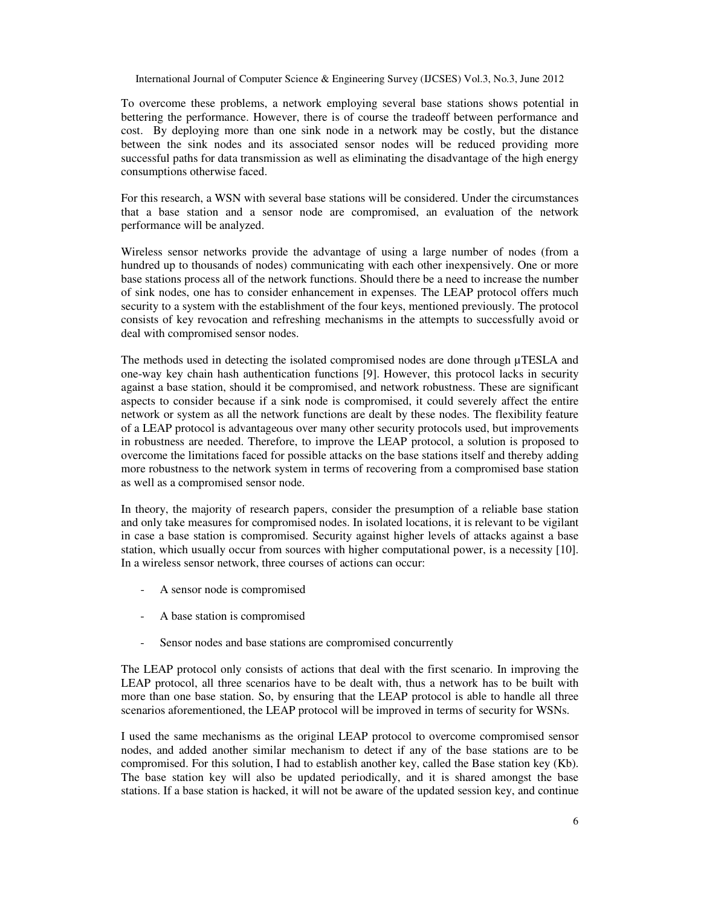To overcome these problems, a network employing several base stations shows potential in bettering the performance. However, there is of course the tradeoff between performance and cost. By deploying more than one sink node in a network may be costly, but the distance between the sink nodes and its associated sensor nodes will be reduced providing more successful paths for data transmission as well as eliminating the disadvantage of the high energy consumptions otherwise faced.

For this research, a WSN with several base stations will be considered. Under the circumstances that a base station and a sensor node are compromised, an evaluation of the network performance will be analyzed.

Wireless sensor networks provide the advantage of using a large number of nodes (from a hundred up to thousands of nodes) communicating with each other inexpensively. One or more base stations process all of the network functions. Should there be a need to increase the number of sink nodes, one has to consider enhancement in expenses. The LEAP protocol offers much security to a system with the establishment of the four keys, mentioned previously. The protocol consists of key revocation and refreshing mechanisms in the attempts to successfully avoid or deal with compromised sensor nodes.

The methods used in detecting the isolated compromised nodes are done through  $\mu$ TESLA and one-way key chain hash authentication functions [9]. However, this protocol lacks in security against a base station, should it be compromised, and network robustness. These are significant aspects to consider because if a sink node is compromised, it could severely affect the entire network or system as all the network functions are dealt by these nodes. The flexibility feature of a LEAP protocol is advantageous over many other security protocols used, but improvements in robustness are needed. Therefore, to improve the LEAP protocol, a solution is proposed to overcome the limitations faced for possible attacks on the base stations itself and thereby adding more robustness to the network system in terms of recovering from a compromised base station as well as a compromised sensor node.

In theory, the majority of research papers, consider the presumption of a reliable base station and only take measures for compromised nodes. In isolated locations, it is relevant to be vigilant in case a base station is compromised. Security against higher levels of attacks against a base station, which usually occur from sources with higher computational power, is a necessity [10]. In a wireless sensor network, three courses of actions can occur:

- A sensor node is compromised
- A base station is compromised
- Sensor nodes and base stations are compromised concurrently

The LEAP protocol only consists of actions that deal with the first scenario. In improving the LEAP protocol, all three scenarios have to be dealt with, thus a network has to be built with more than one base station. So, by ensuring that the LEAP protocol is able to handle all three scenarios aforementioned, the LEAP protocol will be improved in terms of security for WSNs.

I used the same mechanisms as the original LEAP protocol to overcome compromised sensor nodes, and added another similar mechanism to detect if any of the base stations are to be compromised. For this solution, I had to establish another key, called the Base station key (Kb). The base station key will also be updated periodically, and it is shared amongst the base stations. If a base station is hacked, it will not be aware of the updated session key, and continue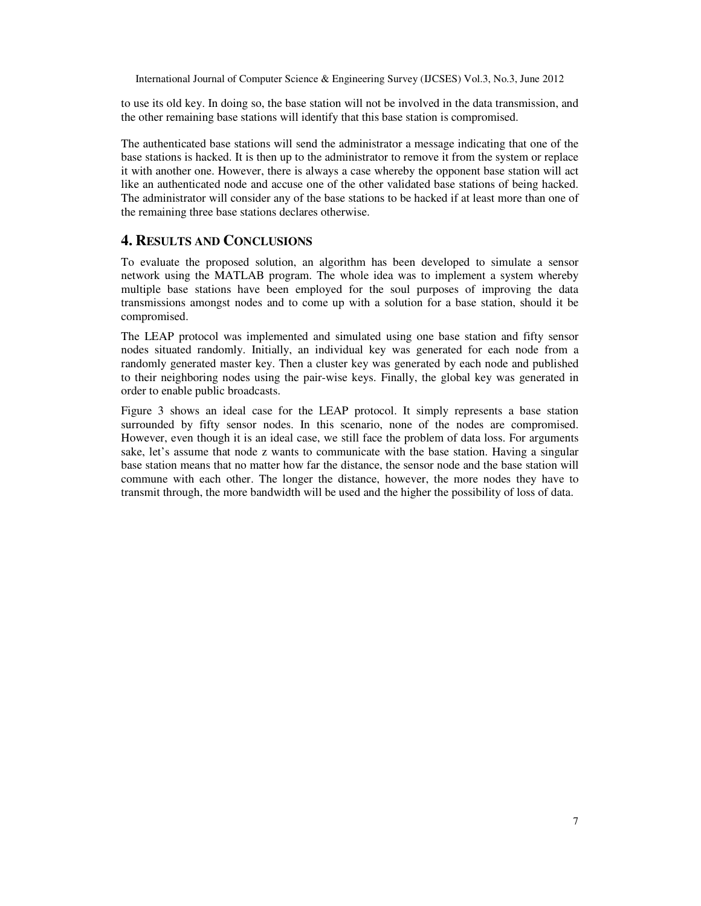to use its old key. In doing so, the base station will not be involved in the data transmission, and the other remaining base stations will identify that this base station is compromised.

The authenticated base stations will send the administrator a message indicating that one of the base stations is hacked. It is then up to the administrator to remove it from the system or replace it with another one. However, there is always a case whereby the opponent base station will act like an authenticated node and accuse one of the other validated base stations of being hacked. The administrator will consider any of the base stations to be hacked if at least more than one of the remaining three base stations declares otherwise.

# **4. RESULTS AND CONCLUSIONS**

To evaluate the proposed solution, an algorithm has been developed to simulate a sensor network using the MATLAB program. The whole idea was to implement a system whereby multiple base stations have been employed for the soul purposes of improving the data transmissions amongst nodes and to come up with a solution for a base station, should it be compromised.

The LEAP protocol was implemented and simulated using one base station and fifty sensor nodes situated randomly. Initially, an individual key was generated for each node from a randomly generated master key. Then a cluster key was generated by each node and published to their neighboring nodes using the pair-wise keys. Finally, the global key was generated in order to enable public broadcasts.

Figure 3 shows an ideal case for the LEAP protocol. It simply represents a base station surrounded by fifty sensor nodes. In this scenario, none of the nodes are compromised. However, even though it is an ideal case, we still face the problem of data loss. For arguments sake, let's assume that node z wants to communicate with the base station. Having a singular base station means that no matter how far the distance, the sensor node and the base station will commune with each other. The longer the distance, however, the more nodes they have to transmit through, the more bandwidth will be used and the higher the possibility of loss of data.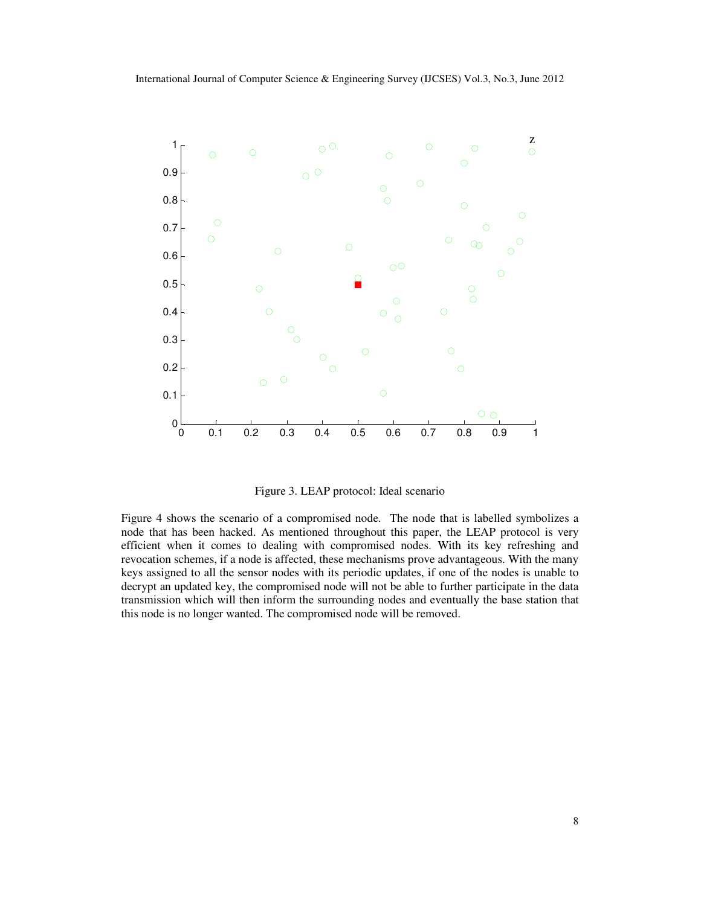

Figure 3. LEAP protocol: Ideal scenario

Figure 4 shows the scenario of a compromised node. The node that is labelled symbolizes a node that has been hacked. As mentioned throughout this paper, the LEAP protocol is very efficient when it comes to dealing with compromised nodes. With its key refreshing and revocation schemes, if a node is affected, these mechanisms prove advantageous. With the many keys assigned to all the sensor nodes with its periodic updates, if one of the nodes is unable to decrypt an updated key, the compromised node will not be able to further participate in the data transmission which will then inform the surrounding nodes and eventually the base station that this node is no longer wanted. The compromised node will be removed.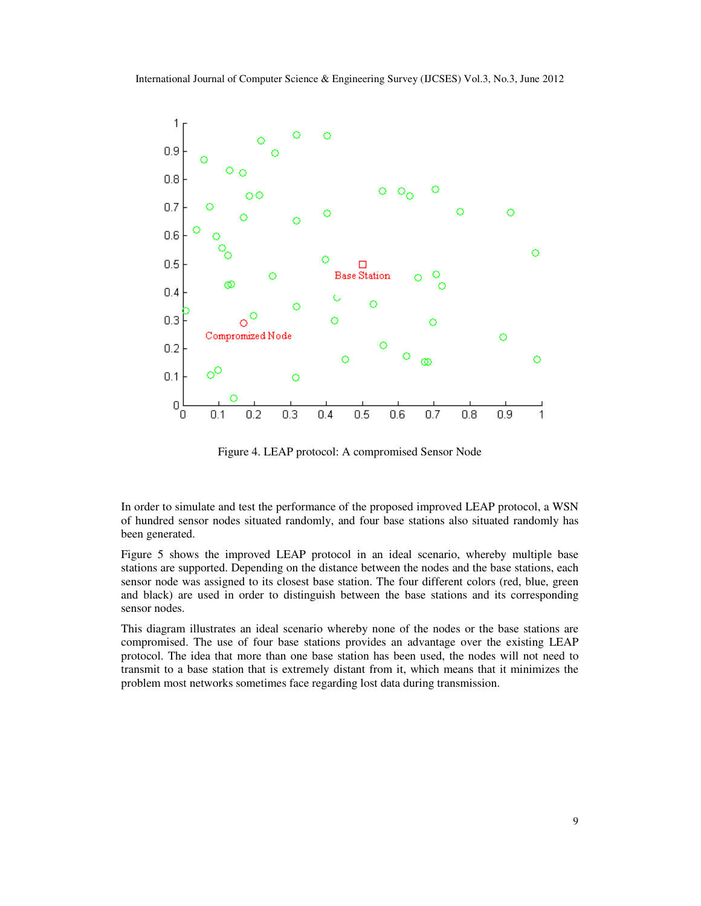

Figure 4. LEAP protocol: A compromised Sensor Node

In order to simulate and test the performance of the proposed improved LEAP protocol, a WSN of hundred sensor nodes situated randomly, and four base stations also situated randomly has been generated.

Figure 5 shows the improved LEAP protocol in an ideal scenario, whereby multiple base stations are supported. Depending on the distance between the nodes and the base stations, each sensor node was assigned to its closest base station. The four different colors (red, blue, green and black) are used in order to distinguish between the base stations and its corresponding sensor nodes.

This diagram illustrates an ideal scenario whereby none of the nodes or the base stations are compromised. The use of four base stations provides an advantage over the existing LEAP protocol. The idea that more than one base station has been used, the nodes will not need to transmit to a base station that is extremely distant from it, which means that it minimizes the problem most networks sometimes face regarding lost data during transmission.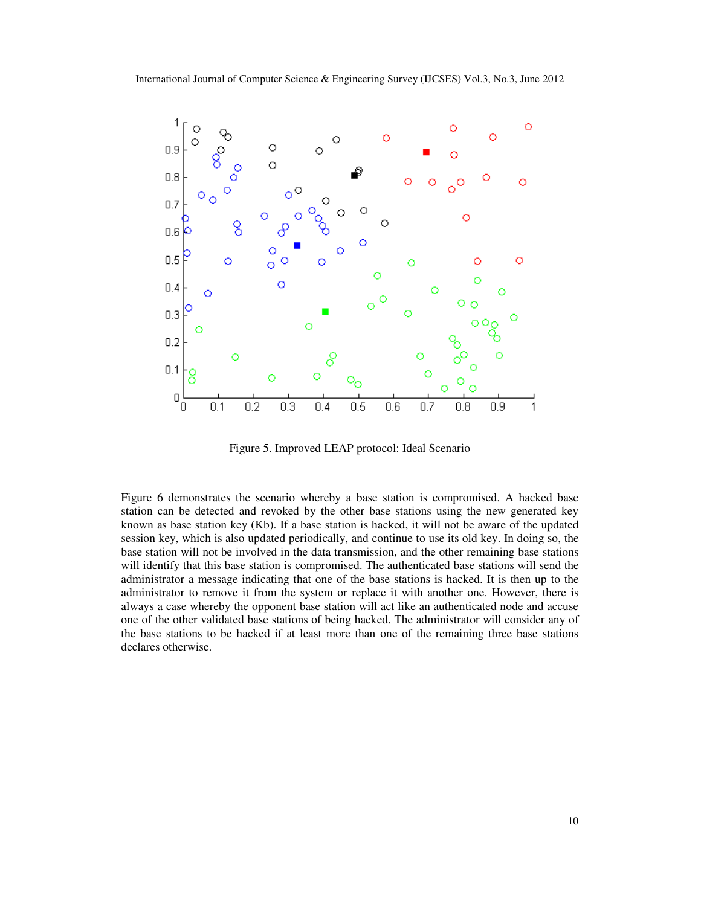

Figure 5. Improved LEAP protocol: Ideal Scenario

Figure 6 demonstrates the scenario whereby a base station is compromised. A hacked base station can be detected and revoked by the other base stations using the new generated key known as base station key (Kb). If a base station is hacked, it will not be aware of the updated session key, which is also updated periodically, and continue to use its old key. In doing so, the base station will not be involved in the data transmission, and the other remaining base stations will identify that this base station is compromised. The authenticated base stations will send the administrator a message indicating that one of the base stations is hacked. It is then up to the administrator to remove it from the system or replace it with another one. However, there is always a case whereby the opponent base station will act like an authenticated node and accuse one of the other validated base stations of being hacked. The administrator will consider any of the base stations to be hacked if at least more than one of the remaining three base stations declares otherwise.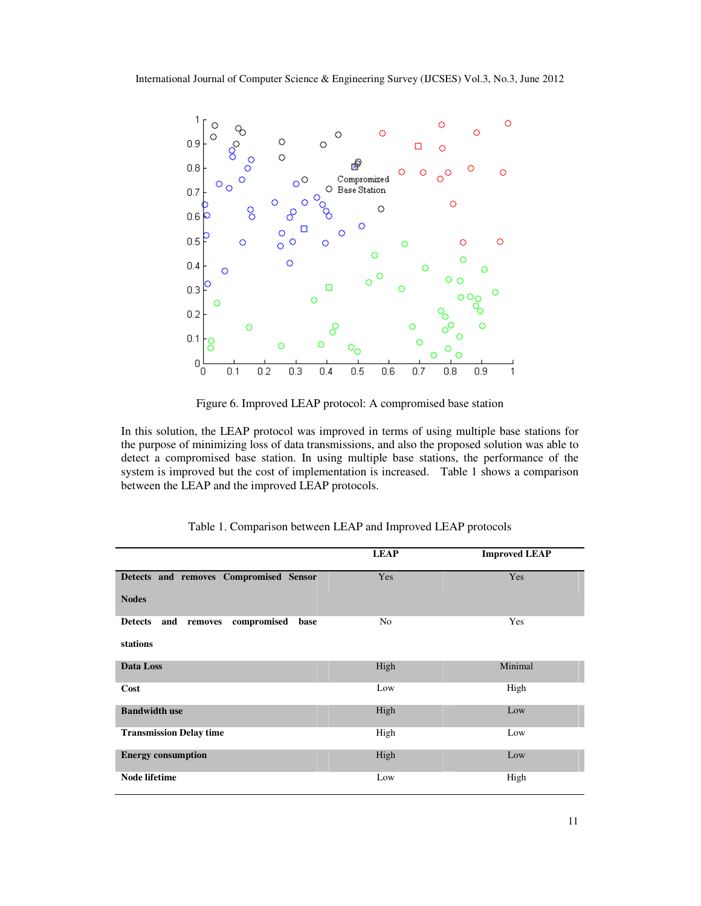

Figure 6. Improved LEAP protocol: A compromised base station

In this solution, the LEAP protocol was improved in terms of using multiple base stations for the purpose of minimizing loss of data transmissions, and also the proposed solution was able to detect a compromised base station. In using multiple base stations, the performance of the system is improved but the cost of implementation is increased. Table 1 shows a comparison between the LEAP and the improved LEAP protocols.

|                                                         | <b>LEAP</b> | <b>Improved LEAP</b> |
|---------------------------------------------------------|-------------|----------------------|
| Detects and removes Compromised Sensor                  | Yes         | Yes                  |
| <b>Nodes</b>                                            |             |                      |
| compromised<br><b>Detects</b><br>and<br>base<br>removes | No          | Yes                  |
| stations                                                |             |                      |
| Data Loss                                               | High        | Minimal              |
| Cost                                                    | Low         | High                 |
| <b>Bandwidth use</b>                                    | High        | Low                  |
| <b>Transmission Delay time</b>                          | High        | Low                  |
| <b>Energy consumption</b>                               | High        | Low                  |
| <b>Node lifetime</b>                                    | Low         | High                 |

Table 1. Comparison between LEAP and Improved LEAP protocols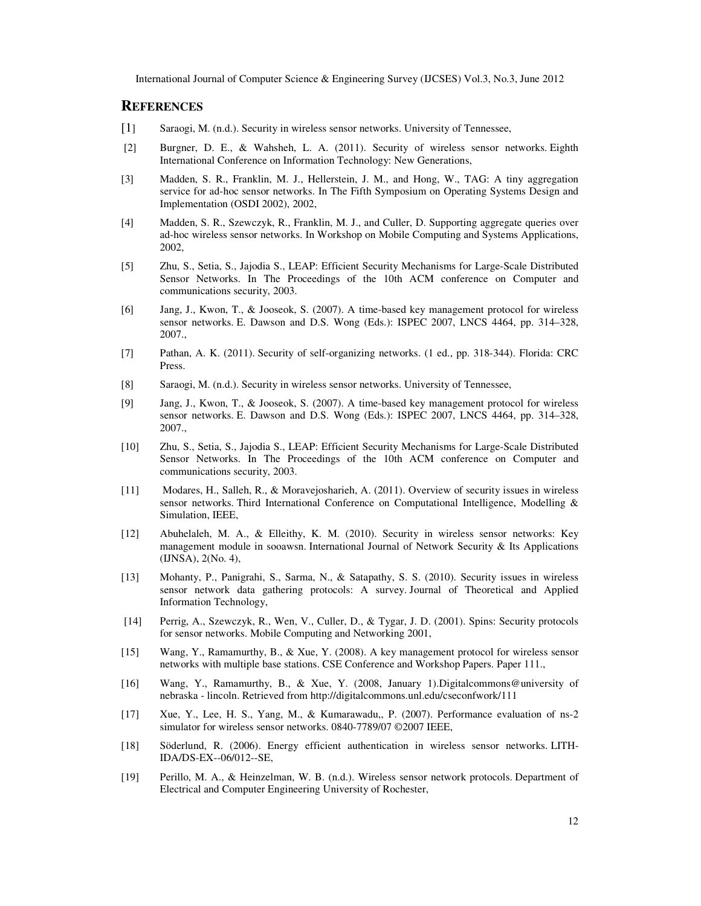# **REFERENCES**

- [1] Saraogi, M. (n.d.). Security in wireless sensor networks. University of Tennessee,
- [2] Burgner, D. E., & Wahsheh, L. A. (2011). Security of wireless sensor networks. Eighth International Conference on Information Technology: New Generations,
- [3] Madden, S. R., Franklin, M. J., Hellerstein, J. M., and Hong, W., TAG: A tiny aggregation service for ad-hoc sensor networks. In The Fifth Symposium on Operating Systems Design and Implementation (OSDI 2002), 2002,
- [4] Madden, S. R., Szewczyk, R., Franklin, M. J., and Culler, D. Supporting aggregate queries over ad-hoc wireless sensor networks. In Workshop on Mobile Computing and Systems Applications, 2002,
- [5] Zhu, S., Setia, S., Jajodia S., LEAP: Efficient Security Mechanisms for Large-Scale Distributed Sensor Networks. In The Proceedings of the 10th ACM conference on Computer and communications security, 2003.
- [6] Jang, J., Kwon, T., & Jooseok, S. (2007). A time-based key management protocol for wireless sensor networks. E. Dawson and D.S. Wong (Eds.): ISPEC 2007, LNCS 4464, pp. 314–328, 2007.,
- [7] Pathan, A. K. (2011). Security of self-organizing networks. (1 ed., pp. 318-344). Florida: CRC Press.
- [8] Saraogi, M. (n.d.). Security in wireless sensor networks. University of Tennessee,
- [9] Jang, J., Kwon, T., & Jooseok, S. (2007). A time-based key management protocol for wireless sensor networks. E. Dawson and D.S. Wong (Eds.): ISPEC 2007, LNCS 4464, pp. 314–328, 2007.,
- [10] Zhu, S., Setia, S., Jajodia S., LEAP: Efficient Security Mechanisms for Large-Scale Distributed Sensor Networks. In The Proceedings of the 10th ACM conference on Computer and communications security, 2003.
- [11] Modares, H., Salleh, R., & Moravejosharieh, A. (2011). Overview of security issues in wireless sensor networks. Third International Conference on Computational Intelligence, Modelling & Simulation, IEEE,
- [12] Abuhelaleh, M. A., & Elleithy, K. M. (2010). Security in wireless sensor networks: Key management module in sooawsn. International Journal of Network Security & Its Applications (IJNSA), 2(No. 4),
- [13] Mohanty, P., Panigrahi, S., Sarma, N., & Satapathy, S. S. (2010). Security issues in wireless sensor network data gathering protocols: A survey. Journal of Theoretical and Applied Information Technology,
- [14] Perrig, A., Szewczyk, R., Wen, V., Culler, D., & Tygar, J. D. (2001). Spins: Security protocols for sensor networks. Mobile Computing and Networking 2001,
- [15] Wang, Y., Ramamurthy, B., & Xue, Y. (2008). A key management protocol for wireless sensor networks with multiple base stations. CSE Conference and Workshop Papers. Paper 111.,
- [16] Wang, Y., Ramamurthy, B., & Xue, Y. (2008, January 1).Digitalcommons@university of nebraska - lincoln. Retrieved from http://digitalcommons.unl.edu/cseconfwork/111
- [17] Xue, Y., Lee, H. S., Yang, M., & Kumarawadu,, P. (2007). Performance evaluation of ns-2 simulator for wireless sensor networks. 0840-7789/07 ©2007 IEEE,
- [18] Söderlund, R. (2006). Energy efficient authentication in wireless sensor networks. LITH-IDA/DS-EX--06/012--SE,
- [19] Perillo, M. A., & Heinzelman, W. B. (n.d.). Wireless sensor network protocols. Department of Electrical and Computer Engineering University of Rochester,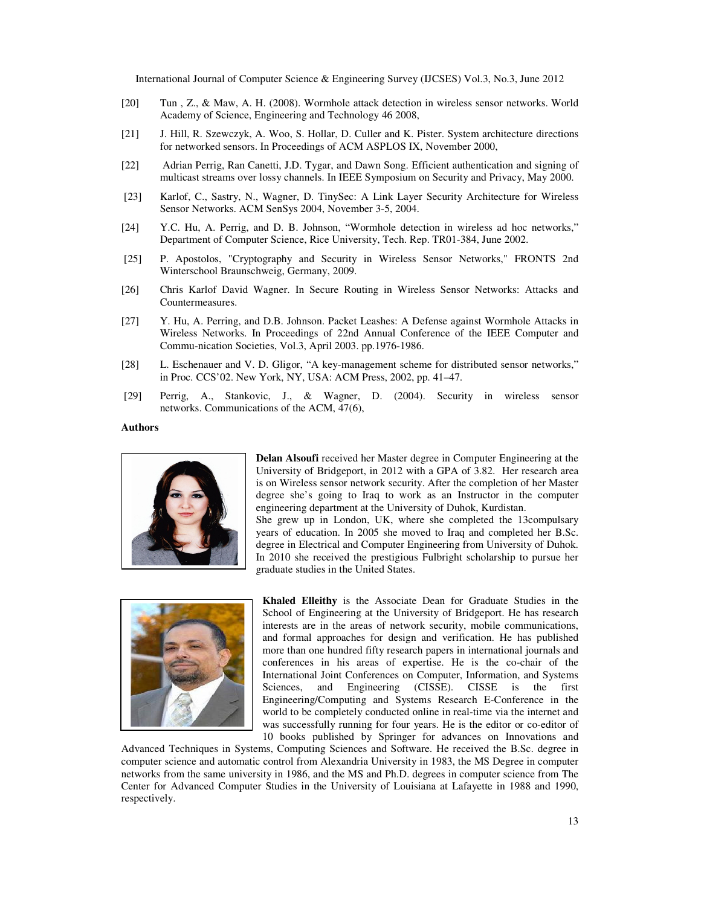- [20] Tun , Z., & Maw, A. H. (2008). Wormhole attack detection in wireless sensor networks. World Academy of Science, Engineering and Technology 46 2008,
- [21] J. Hill, R. Szewczyk, A. Woo, S. Hollar, D. Culler and K. Pister. System architecture directions for networked sensors. In Proceedings of ACM ASPLOS IX, November 2000,
- [22] Adrian Perrig, Ran Canetti, J.D. Tygar, and Dawn Song. Efficient authentication and signing of multicast streams over lossy channels. In IEEE Symposium on Security and Privacy, May 2000.
- [23] Karlof, C., Sastry, N., Wagner, D. TinySec: A Link Layer Security Architecture for Wireless Sensor Networks. ACM SenSys 2004, November 3-5, 2004.
- [24] Y.C. Hu, A. Perrig, and D. B. Johnson, "Wormhole detection in wireless ad hoc networks," Department of Computer Science, Rice University, Tech. Rep. TR01-384, June 2002.
- [25] P. Apostolos, "Cryptography and Security in Wireless Sensor Networks," FRONTS 2nd Winterschool Braunschweig, Germany, 2009.
- [26] Chris Karlof David Wagner. In Secure Routing in Wireless Sensor Networks: Attacks and Countermeasures.
- [27] Y. Hu, A. Perring, and D.B. Johnson. Packet Leashes: A Defense against Wormhole Attacks in Wireless Networks. In Proceedings of 22nd Annual Conference of the IEEE Computer and Commu-nication Societies, Vol.3, April 2003. pp.1976-1986.
- [28] L. Eschenauer and V. D. Gligor, "A key-management scheme for distributed sensor networks," in Proc. CCS'02. New York, NY, USA: ACM Press, 2002, pp. 41–47.
- [29] Perrig, A., Stankovic, J., & Wagner, D. (2004). Security in wireless sensor networks. Communications of the ACM, 47(6),

#### **Authors**



**Delan Alsoufi** received her Master degree in Computer Engineering at the University of Bridgeport, in 2012 with a GPA of 3.82. Her research area is on Wireless sensor network security. After the completion of her Master degree she's going to Iraq to work as an Instructor in the computer engineering department at the University of Duhok, Kurdistan.

She grew up in London, UK, where she completed the 13compulsary years of education. In 2005 she moved to Iraq and completed her B.Sc. degree in Electrical and Computer Engineering from University of Duhok. In 2010 she received the prestigious Fulbright scholarship to pursue her graduate studies in the United States.



**Khaled Elleithy** is the Associate Dean for Graduate Studies in the School of Engineering at the University of Bridgeport. He has research interests are in the areas of network security, mobile communications, and formal approaches for design and verification. He has published more than one hundred fifty research papers in international journals and conferences in his areas of expertise. He is the co-chair of the International Joint Conferences on Computer, Information, and Systems Sciences, and Engineering (CISSE). CISSE is the first Engineering/Computing and Systems Research E-Conference in the world to be completely conducted online in real-time via the internet and was successfully running for four years. He is the editor or co-editor of 10 books published by Springer for advances on Innovations and

Advanced Techniques in Systems, Computing Sciences and Software. He received the B.Sc. degree in computer science and automatic control from Alexandria University in 1983, the MS Degree in computer networks from the same university in 1986, and the MS and Ph.D. degrees in computer science from The Center for Advanced Computer Studies in the University of Louisiana at Lafayette in 1988 and 1990, respectively.